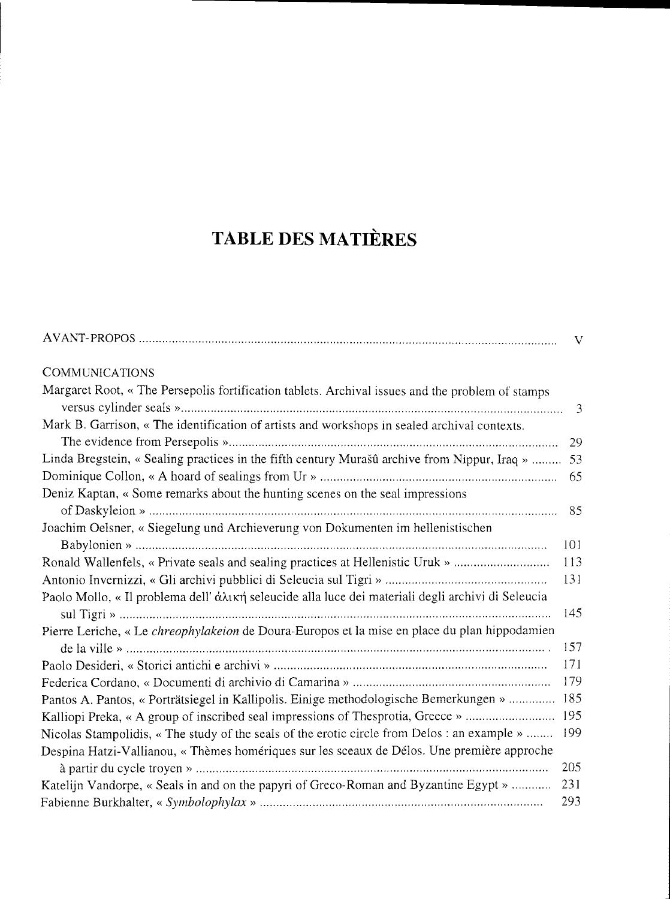## **TABLE DES MATIÈRES**

|                                                                                                      | V    |
|------------------------------------------------------------------------------------------------------|------|
| <b>COMMUNICATIONS</b>                                                                                |      |
| Margaret Root, « The Persepolis fortification tablets. Archival issues and the problem of stamps     |      |
|                                                                                                      | 3    |
| Mark B. Garrison, « The identification of artists and workshops in sealed archival contexts.         |      |
|                                                                                                      | 29   |
| Linda Bregstein, « Sealing practices in the fifth century Murašû archive from Nippur, Iraq »  53     |      |
|                                                                                                      | 65   |
| Deniz Kaptan, « Some remarks about the hunting scenes on the seal impressions                        |      |
|                                                                                                      | 85   |
| Joachim Oelsner, « Siegelung und Archieverung von Dokumenten im hellenistischen                      |      |
|                                                                                                      | 101  |
| Ronald Wallenfels, « Private seals and sealing practices at Hellenistic Uruk »                       | 113  |
|                                                                                                      | 131  |
| Paolo Mollo, « Il problema dell' άλική seleucide alla luce dei materiali degli archivi di Seleucia   |      |
|                                                                                                      | 145  |
| Pierre Leriche, « Le <i>chreophylakeion</i> de Doura-Europos et la mise en place du plan hippodamien |      |
|                                                                                                      | 157  |
|                                                                                                      | 171  |
|                                                                                                      | 179  |
| Pantos A. Pantos, « Porträtsiegel in Kallipolis. Einige methodologische Bemerkungen »  185           |      |
|                                                                                                      |      |
| Nicolas Stampolidis, « The study of the seals of the erotic circle from Delos : an example »         | -199 |
| Despina Hatzi-Vallianou, « Thèmes homériques sur les sceaux de Délos. Une première approche          |      |
|                                                                                                      | 205  |
| Katelijn Vandorpe, « Seals in and on the papyri of Greco-Roman and Byzantine Egypt »                 | 231  |
|                                                                                                      | 293  |